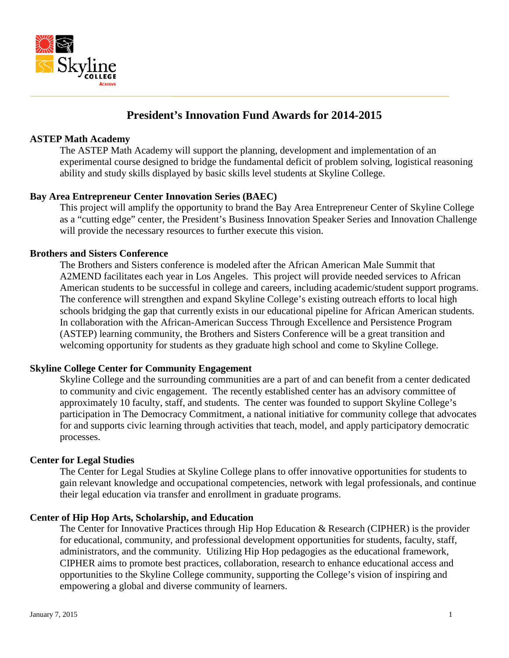

# **President's Innovation Fund Awards for 2014-2015**

## **ASTEP Math Academy**

The ASTEP Math Academy will support the planning, development and implementation of an experimental course designed to bridge the fundamental deficit of problem solving, logistical reasoning ability and study skills displayed by basic skills level students at Skyline College.

## **Bay Area Entrepreneur Center Innovation Series (BAEC)**

This project will amplify the opportunity to brand the Bay Area Entrepreneur Center of Skyline College as a "cutting edge" center, the President's Business Innovation Speaker Series and Innovation Challenge will provide the necessary resources to further execute this vision.

## **Brothers and Sisters Conference**

The Brothers and Sisters conference is modeled after the African American Male Summit that A2MEND facilitates each year in Los Angeles. This project will provide needed services to African American students to be successful in college and careers, including academic/student support programs. The conference will strengthen and expand Skyline College's existing outreach efforts to local high schools bridging the gap that currently exists in our educational pipeline for African American students. In collaboration with the African-American Success Through Excellence and Persistence Program (ASTEP) learning community, the Brothers and Sisters Conference will be a great transition and welcoming opportunity for students as they graduate high school and come to Skyline College.

## **Skyline College Center for Community Engagement**

Skyline College and the surrounding communities are a part of and can benefit from a center dedicated to community and civic engagement. The recently established center has an advisory committee of approximately 10 faculty, staff, and students. The center was founded to support Skyline College's participation in The Democracy Commitment, a national initiative for community college that advocates for and supports civic learning through activities that teach, model, and apply participatory democratic processes.

## **Center for Legal Studies**

The Center for Legal Studies at Skyline College plans to offer innovative opportunities for students to gain relevant knowledge and occupational competencies, network with legal professionals, and continue their legal education via transfer and enrollment in graduate programs.

## **Center of Hip Hop Arts, Scholarship, and Education**

The Center for Innovative Practices through Hip Hop Education & Research (CIPHER) is the provider for educational, community, and professional development opportunities for students, faculty, staff, administrators, and the community. Utilizing Hip Hop pedagogies as the educational framework, CIPHER aims to promote best practices, collaboration, research to enhance educational access and opportunities to the Skyline College community, supporting the College's vision of inspiring and empowering a global and diverse community of learners.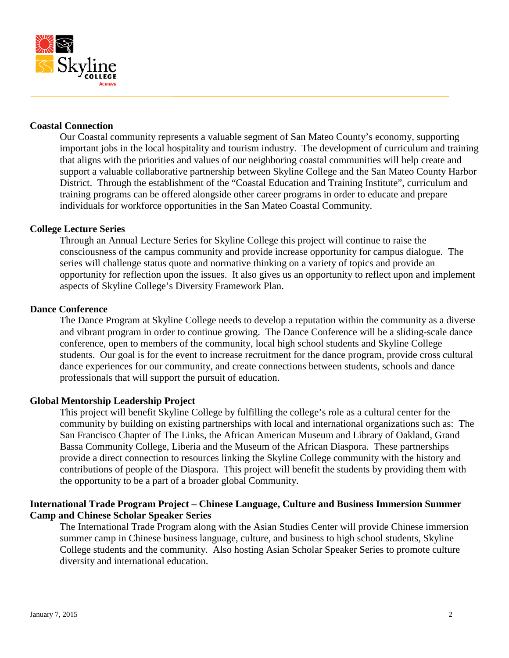

## **Coastal Connection**

Our Coastal community represents a valuable segment of San Mateo County's economy, supporting important jobs in the local hospitality and tourism industry. The development of curriculum and training that aligns with the priorities and values of our neighboring coastal communities will help create and support a valuable collaborative partnership between Skyline College and the San Mateo County Harbor District. Through the establishment of the "Coastal Education and Training Institute", curriculum and training programs can be offered alongside other career programs in order to educate and prepare individuals for workforce opportunities in the San Mateo Coastal Community.

#### **College Lecture Series**

Through an Annual Lecture Series for Skyline College this project will continue to raise the consciousness of the campus community and provide increase opportunity for campus dialogue. The series will challenge status quote and normative thinking on a variety of topics and provide an opportunity for reflection upon the issues. It also gives us an opportunity to reflect upon and implement aspects of Skyline College's Diversity Framework Plan.

#### **Dance Conference**

The Dance Program at Skyline College needs to develop a reputation within the community as a diverse and vibrant program in order to continue growing. The Dance Conference will be a sliding-scale dance conference, open to members of the community, local high school students and Skyline College students. Our goal is for the event to increase recruitment for the dance program, provide cross cultural dance experiences for our community, and create connections between students, schools and dance professionals that will support the pursuit of education.

## **Global Mentorship Leadership Project**

This project will benefit Skyline College by fulfilling the college's role as a cultural center for the community by building on existing partnerships with local and international organizations such as: The San Francisco Chapter of The Links, the African American Museum and Library of Oakland, Grand Bassa Community College, Liberia and the Museum of the African Diaspora. These partnerships provide a direct connection to resources linking the Skyline College community with the history and contributions of people of the Diaspora. This project will benefit the students by providing them with the opportunity to be a part of a broader global Community.

## **International Trade Program Project – Chinese Language, Culture and Business Immersion Summer Camp and Chinese Scholar Speaker Series**

The International Trade Program along with the Asian Studies Center will provide Chinese immersion summer camp in Chinese business language, culture, and business to high school students, Skyline College students and the community. Also hosting Asian Scholar Speaker Series to promote culture diversity and international education.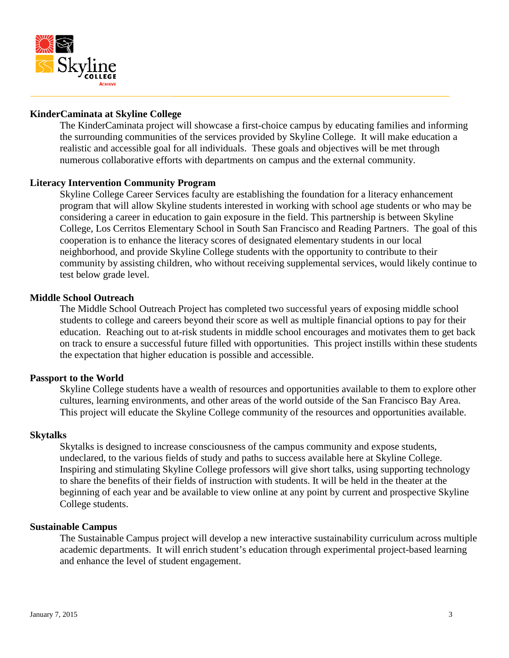

## **KinderCaminata at Skyline College**

The KinderCaminata project will showcase a first-choice campus by educating families and informing the surrounding communities of the services provided by Skyline College. It will make education a realistic and accessible goal for all individuals. These goals and objectives will be met through numerous collaborative efforts with departments on campus and the external community.

## **Literacy Intervention Community Program**

Skyline College Career Services faculty are establishing the foundation for a literacy enhancement program that will allow Skyline students interested in working with school age students or who may be considering a career in education to gain exposure in the field. This partnership is between Skyline College, Los Cerritos Elementary School in South San Francisco and Reading Partners. The goal of this cooperation is to enhance the literacy scores of designated elementary students in our local neighborhood, and provide Skyline College students with the opportunity to contribute to their community by assisting children, who without receiving supplemental services, would likely continue to test below grade level.

#### **Middle School Outreach**

The Middle School Outreach Project has completed two successful years of exposing middle school students to college and careers beyond their score as well as multiple financial options to pay for their education. Reaching out to at-risk students in middle school encourages and motivates them to get back on track to ensure a successful future filled with opportunities. This project instills within these students the expectation that higher education is possible and accessible.

#### **Passport to the World**

Skyline College students have a wealth of resources and opportunities available to them to explore other cultures, learning environments, and other areas of the world outside of the San Francisco Bay Area. This project will educate the Skyline College community of the resources and opportunities available.

#### **Skytalks**

Skytalks is designed to increase consciousness of the campus community and expose students, undeclared, to the various fields of study and paths to success available here at Skyline College. Inspiring and stimulating Skyline College professors will give short talks, using supporting technology to share the benefits of their fields of instruction with students. It will be held in the theater at the beginning of each year and be available to view online at any point by current and prospective Skyline College students.

#### **Sustainable Campus**

The Sustainable Campus project will develop a new interactive sustainability curriculum across multiple academic departments. It will enrich student's education through experimental project-based learning and enhance the level of student engagement.